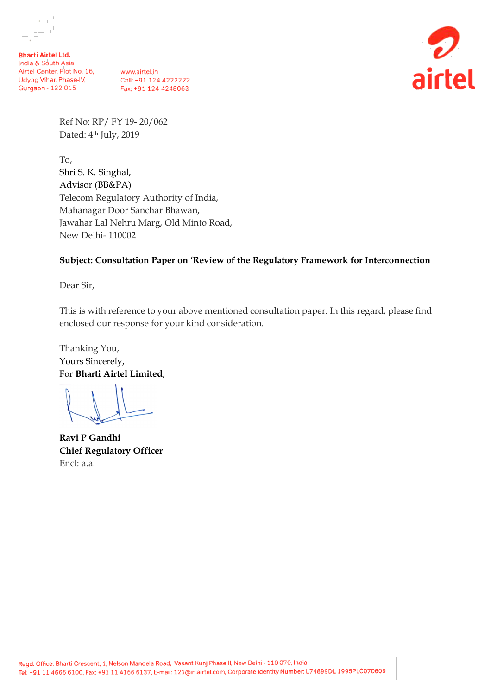

**Bharti Airtel Ltd.** India & South Asia Airtel Center, Plot No. 16, Udyog Vihar, Phase-IV, Gurgaon - 122 015

www.airtel.in Call: +91 124 4222222 Fax: +91 124 4248063



Ref No: RP/ FY 19- 20/062 Dated: 4<sup>th</sup> July, 2019

To, Shri S. K. Singhal, Advisor (BB&PA) Telecom Regulatory Authority of India, Mahanagar Door Sanchar Bhawan, Jawahar Lal Nehru Marg, Old Minto Road, New Delhi- 110002

### **Subject: Consultation Paper on 'Review of the Regulatory Framework for Interconnection**

Dear Sir,

This is with reference to your above mentioned consultation paper. In this regard, please find enclosed our response for your kind consideration.

Thanking You, Yours Sincerely, For **Bharti Airtel Limited**,

**Ravi P Gandhi Chief Regulatory Officer** Encl: a.a.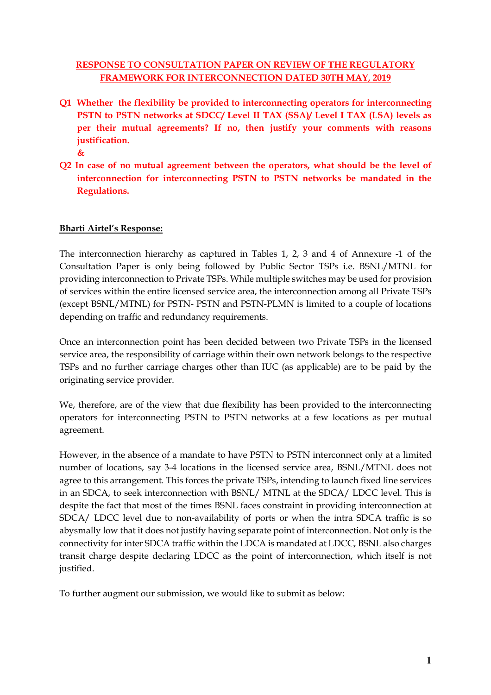## **RESPONSE TO CONSULTATION PAPER ON REVIEW OF THE REGULATORY FRAMEWORK FOR INTERCONNECTION DATED 30TH MAY, 2019**

- **Q1 Whether the flexibility be provided to interconnecting operators for interconnecting PSTN to PSTN networks at SDCC/ Level II TAX (SSA)/ Level I TAX (LSA) levels as per their mutual agreements? If no, then justify your comments with reasons justification.** 
	- **&**
- **Q2 In case of no mutual agreement between the operators, what should be the level of interconnection for interconnecting PSTN to PSTN networks be mandated in the Regulations.**

# **Bharti Airtel's Response:**

The interconnection hierarchy as captured in Tables 1, 2, 3 and 4 of Annexure -1 of the Consultation Paper is only being followed by Public Sector TSPs i.e. BSNL/MTNL for providing interconnection to Private TSPs. While multiple switches may be used for provision of services within the entire licensed service area, the interconnection among all Private TSPs (except BSNL/MTNL) for PSTN- PSTN and PSTN-PLMN is limited to a couple of locations depending on traffic and redundancy requirements.

Once an interconnection point has been decided between two Private TSPs in the licensed service area, the responsibility of carriage within their own network belongs to the respective TSPs and no further carriage charges other than IUC (as applicable) are to be paid by the originating service provider.

We, therefore, are of the view that due flexibility has been provided to the interconnecting operators for interconnecting PSTN to PSTN networks at a few locations as per mutual agreement.

However, in the absence of a mandate to have PSTN to PSTN interconnect only at a limited number of locations, say 3-4 locations in the licensed service area, BSNL/MTNL does not agree to this arrangement. This forces the private TSPs, intending to launch fixed line services in an SDCA, to seek interconnection with BSNL/ MTNL at the SDCA/ LDCC level. This is despite the fact that most of the times BSNL faces constraint in providing interconnection at SDCA/ LDCC level due to non-availability of ports or when the intra SDCA traffic is so abysmally low that it does not justify having separate point of interconnection. Not only is the connectivity for inter SDCA traffic within the LDCA is mandated at LDCC, BSNL also charges transit charge despite declaring LDCC as the point of interconnection, which itself is not justified.

To further augment our submission, we would like to submit as below: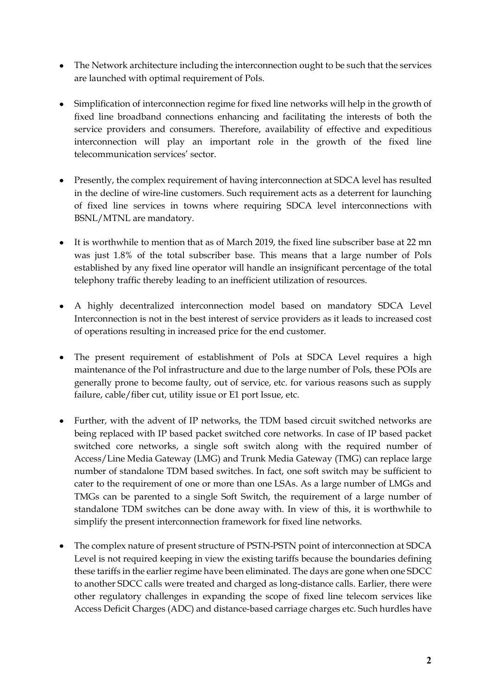- The Network architecture including the interconnection ought to be such that the services are launched with optimal requirement of PoIs.
- Simplification of interconnection regime for fixed line networks will help in the growth of fixed line broadband connections enhancing and facilitating the interests of both the service providers and consumers. Therefore, availability of effective and expeditious interconnection will play an important role in the growth of the fixed line telecommunication services' sector.
- Presently, the complex requirement of having interconnection at SDCA level has resulted in the decline of wire-line customers. Such requirement acts as a deterrent for launching of fixed line services in towns where requiring SDCA level interconnections with BSNL/MTNL are mandatory.
- It is worthwhile to mention that as of March 2019, the fixed line subscriber base at 22 mn was just 1.8% of the total subscriber base. This means that a large number of PoIs established by any fixed line operator will handle an insignificant percentage of the total telephony traffic thereby leading to an inefficient utilization of resources.
- A highly decentralized interconnection model based on mandatory SDCA Level Interconnection is not in the best interest of service providers as it leads to increased cost of operations resulting in increased price for the end customer.
- The present requirement of establishment of PoIs at SDCA Level requires a high maintenance of the PoI infrastructure and due to the large number of PoIs, these POIs are generally prone to become faulty, out of service, etc. for various reasons such as supply failure, cable/fiber cut, utility issue or E1 port Issue, etc.
- Further, with the advent of IP networks, the TDM based circuit switched networks are being replaced with IP based packet switched core networks. In case of IP based packet switched core networks, a single soft switch along with the required number of Access/Line Media Gateway (LMG) and Trunk Media Gateway (TMG) can replace large number of standalone TDM based switches. In fact, one soft switch may be sufficient to cater to the requirement of one or more than one LSAs. As a large number of LMGs and TMGs can be parented to a single Soft Switch, the requirement of a large number of standalone TDM switches can be done away with. In view of this, it is worthwhile to simplify the present interconnection framework for fixed line networks.
- The complex nature of present structure of PSTN-PSTN point of interconnection at SDCA Level is not required keeping in view the existing tariffs because the boundaries defining these tariffs in the earlier regime have been eliminated. The days are gone when one SDCC to another SDCC calls were treated and charged as long-distance calls. Earlier, there were other regulatory challenges in expanding the scope of fixed line telecom services like Access Deficit Charges (ADC) and distance-based carriage charges etc. Such hurdles have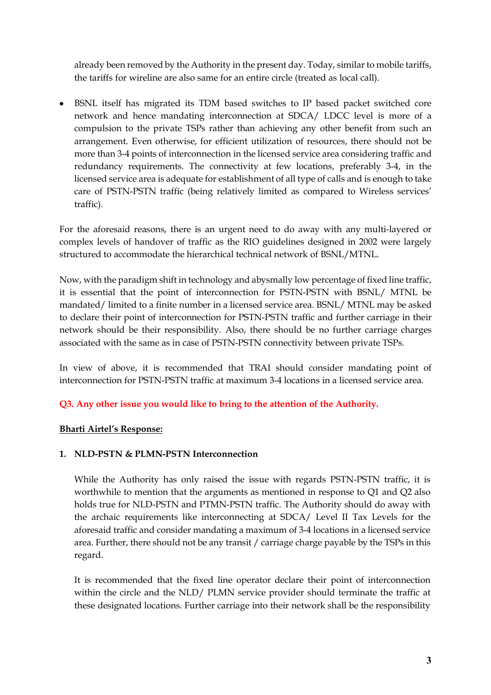already been removed by the Authority in the present day. Today, similar to mobile tariffs, the tariffs for wireline are also same for an entire circle (treated as local call).

• BSNL itself has migrated its TDM based switches to IP based packet switched core network and hence mandating interconnection at SDCA/ LDCC level is more of a compulsion to the private TSPs rather than achieving any other benefit from such an arrangement. Even otherwise, for efficient utilization of resources, there should not be more than 3-4 points of interconnection in the licensed service area considering traffic and redundancy requirements. The connectivity at few locations, preferably 3-4, in the licensed service area is adequate for establishment of all type of calls and is enough to take care of PSTN-PSTN traffic (being relatively limited as compared to Wireless services' traffic).

For the aforesaid reasons, there is an urgent need to do away with any multi-layered or complex levels of handover of traffic as the RIO guidelines designed in 2002 were largely structured to accommodate the hierarchical technical network of BSNL/MTNL.

Now, with the paradigm shift in technology and abysmally low percentage of fixed line traffic, it is essential that the point of interconnection for PSTN-PSTN with BSNL/ MTNL be mandated/ limited to a finite number in a licensed service area. BSNL/ MTNL may be asked to declare their point of interconnection for PSTN-PSTN traffic and further carriage in their network should be their responsibility. Also, there should be no further carriage charges associated with the same as in case of PSTN-PSTN connectivity between private TSPs.

In view of above, it is recommended that TRAI should consider mandating point of interconnection for PSTN-PSTN traffic at maximum 3-4 locations in a licensed service area.

### **Q3. Any other issue you would like to bring to the attention of the Authority.**

### **Bharti Airtel's Response:**

### **1. NLD-PSTN & PLMN-PSTN Interconnection**

While the Authority has only raised the issue with regards PSTN-PSTN traffic, it is worthwhile to mention that the arguments as mentioned in response to Q1 and Q2 also holds true for NLD-PSTN and PTMN-PSTN traffic. The Authority should do away with the archaic requirements like interconnecting at SDCA/ Level II Tax Levels for the aforesaid traffic and consider mandating a maximum of 3-4 locations in a licensed service area. Further, there should not be any transit / carriage charge payable by the TSPs in this regard.

It is recommended that the fixed line operator declare their point of interconnection within the circle and the NLD/ PLMN service provider should terminate the traffic at these designated locations. Further carriage into their network shall be the responsibility